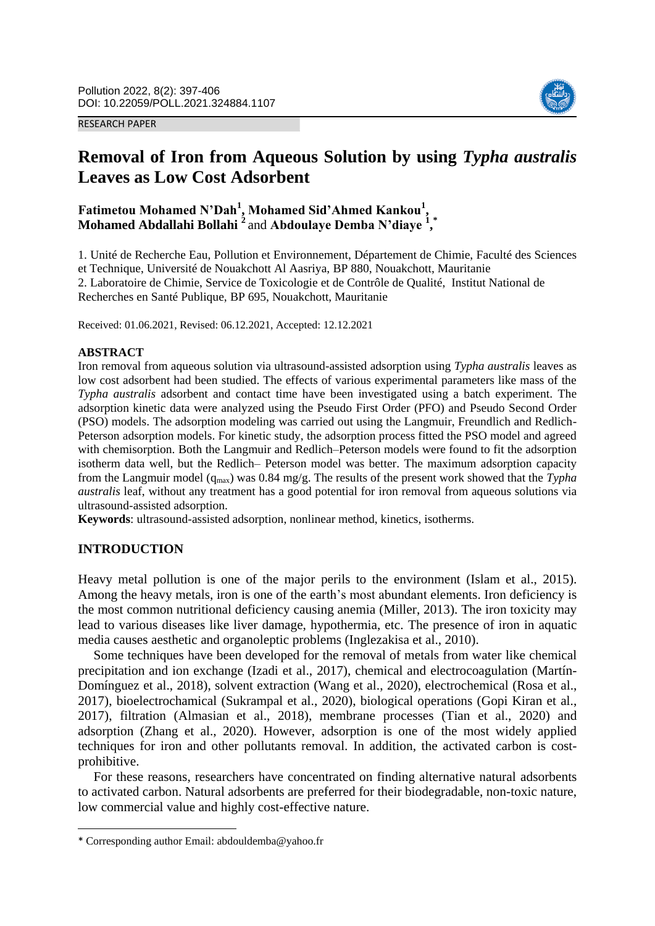RESEARCH PAPER



# **Removal of Iron from Aqueous Solution by using** *Typha australis*  **Leaves as Low Cost Adsorbent**

## **Fatimetou Mohamed N'Dah<sup>1</sup> , Mohamed Sid'Ahmed Kankou<sup>1</sup> , Mohamed Abdallahi Bollahi <sup>2</sup>** and **Abdoulaye Demba N'diaye <sup>1</sup> , \***

1. Unité de Recherche Eau, Pollution et Environnement, Département de Chimie, Faculté des Sciences et Technique, Université de Nouakchott Al Aasriya, BP 880, Nouakchott, Mauritanie 2. Laboratoire de Chimie, Service de Toxicologie et de Contrôle de Qualité, Institut National de Recherches en Santé Publique, BP 695, Nouakchott, Mauritanie

Received: 01.06.2021, Revised: 06.12.2021, Accepted: 12.12.2021

#### **ABSTRACT**

Iron removal from aqueous solution via ultrasound-assisted adsorption using *Typha australis* leaves as low cost adsorbent had been studied. The effects of various experimental parameters like mass of the *Typha australis* adsorbent and contact time have been investigated using a batch experiment. The adsorption kinetic data were analyzed using the Pseudo First Order (PFO) and Pseudo Second Order (PSO) models. The adsorption modeling was carried out using the Langmuir, Freundlich and Redlich-Peterson adsorption models. For kinetic study, the adsorption process fitted the PSO model and agreed with chemisorption. Both the Langmuir and Redlich–Peterson models were found to fit the adsorption isotherm data well, but the Redlich– Peterson model was better. The maximum adsorption capacity from the Langmuir model (qmax) was 0.84 mg/g. The results of the present work showed that the *Typha australis* leaf, without any treatment has a good potential for iron removal from aqueous solutions via ultrasound-assisted adsorption.

**Keywords**: ultrasound-assisted adsorption, nonlinear method, kinetics, isotherms.

### **INTRODUCTION**

**.** 

Heavy metal pollution is one of the major perils to the environment (Islam et al., 2015). Among the heavy metals, iron is one of the earth's most abundant elements. Iron deficiency is the most common nutritional deficiency causing anemia (Miller, 2013). The iron toxicity may lead to various diseases like liver damage, hypothermia, etc. The presence of iron in aquatic media causes aesthetic and organoleptic problems (Inglezakisa et al., 2010).

Some techniques have been developed for the removal of metals from water like chemical precipitation and ion exchange (Izadi et al., 2017), chemical and electrocoagulation (Martín-Domínguez et al., 2018), solvent extraction (Wang et al., 2020), electrochemical (Rosa et al., 2017), bioelectrochamical (Sukrampal et al., 2020), biological operations (Gopi Kiran et al., 2017), filtration (Almasian et al., 2018), membrane processes (Tian et al., 2020) and adsorption (Zhang et al., 2020). However, adsorption is one of the most widely applied techniques for iron and other pollutants removal. In addition, the activated carbon is costprohibitive.

For these reasons, researchers have concentrated on finding alternative natural adsorbents to activated carbon. Natural adsorbents are preferred for their biodegradable, non-toxic nature, low commercial value and highly cost-effective nature.

<sup>\*</sup> Corresponding author Email: abdouldemba@yahoo.fr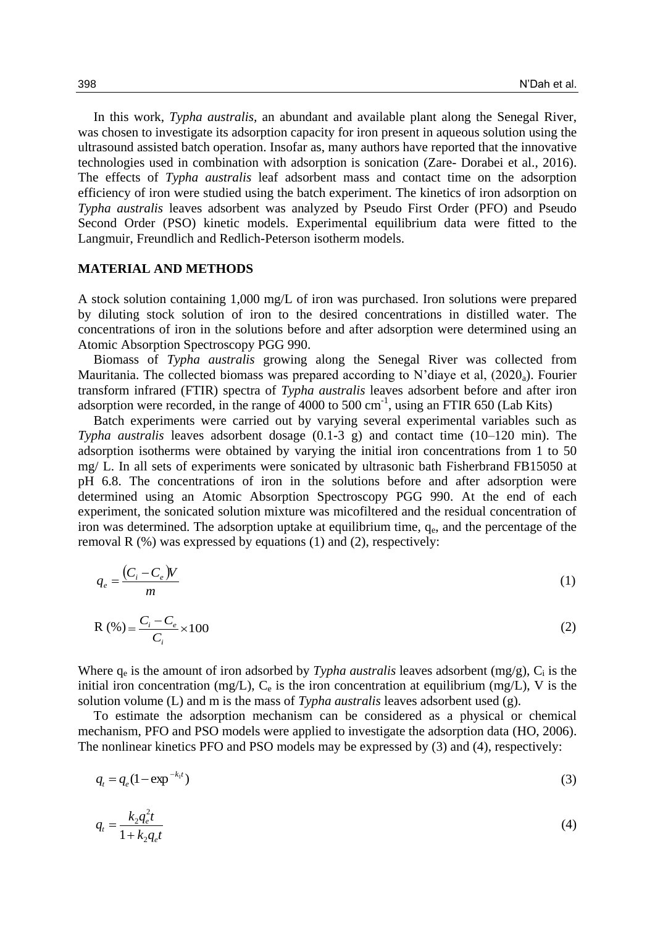In this work, *Typha australis,* an abundant and available plant along the Senegal River, was chosen to investigate its adsorption capacity for iron present in aqueous solution using the ultrasound assisted batch operation. Insofar as, many authors have reported that the innovative technologies used in combination with adsorption is sonication (Zare- Dorabei et al., 2016). The effects of *Typha australis* leaf adsorbent mass and contact time on the adsorption efficiency of iron were studied using the batch experiment. The kinetics of iron adsorption on *Typha australis* leaves adsorbent was analyzed by Pseudo First Order (PFO) and Pseudo Second Order (PSO) kinetic models. Experimental equilibrium data were fitted to the Langmuir, Freundlich and Redlich-Peterson isotherm models.

#### **MATERIAL AND METHODS**

A stock solution containing 1,000 mg/L of iron was purchased. Iron solutions were prepared by diluting stock solution of iron to the desired concentrations in distilled water. The concentrations of iron in the solutions before and after adsorption were determined using an Atomic Absorption Spectroscopy PGG 990.

Biomass of *Typha australis* growing along the Senegal River was collected from Mauritania. The collected biomass was prepared according to N'diaye et al,  $(2020_a)$ . Fourier transform infrared (FTIR) spectra of *Typha australis* leaves adsorbent before and after iron adsorption were recorded, in the range of 4000 to 500 cm<sup>-1</sup>, using an FTIR 650 (Lab Kits)

Batch experiments were carried out by varying several experimental variables such as *Typha australis* leaves adsorbent dosage (0.1-3 g) and contact time (10–120 min). The adsorption isotherms were obtained by varying the initial iron concentrations from 1 to 50 mg/ L. In all sets of experiments were sonicated by ultrasonic bath Fisherbrand FB15050 at pH 6.8. The concentrations of iron in the solutions before and after adsorption were determined using an Atomic Absorption Spectroscopy PGG 990. At the end of each experiment, the sonicated solution mixture was micofiltered and the residual concentration of iron was determined. The adsorption uptake at equilibrium time,  $q<sub>e</sub>$ , and the percentage of the removal R (%) was expressed by equations (1) and (2), respectively:

$$
q_e = \frac{(C_i - C_e)V}{m} \tag{1}
$$

$$
R(\%) = \frac{C_i - C_e}{C_i} \times 100
$$
 (2)

Where  $q_e$  is the amount of iron adsorbed by *Typha australis* leaves adsorbent  $(mg/g)$ ,  $C_i$  is the initial iron concentration (mg/L),  $C_e$  is the iron concentration at equilibrium (mg/L), V is the solution volume (L) and m is the mass of *Typha australis* leaves adsorbent used (g).

To estimate the adsorption mechanism can be considered as a physical or chemical mechanism, PFO and PSO models were applied to investigate the adsorption data (HO, 2006). The nonlinear kinetics PFO and PSO models may be expressed by (3) and (4), respectively:

$$
q_t = q_e (1 - \exp^{-k_1 t}) \tag{3}
$$

$$
q_{t} = \frac{k_{2}q_{e}^{2}t}{1 + k_{2}q_{e}t}
$$
\n(4)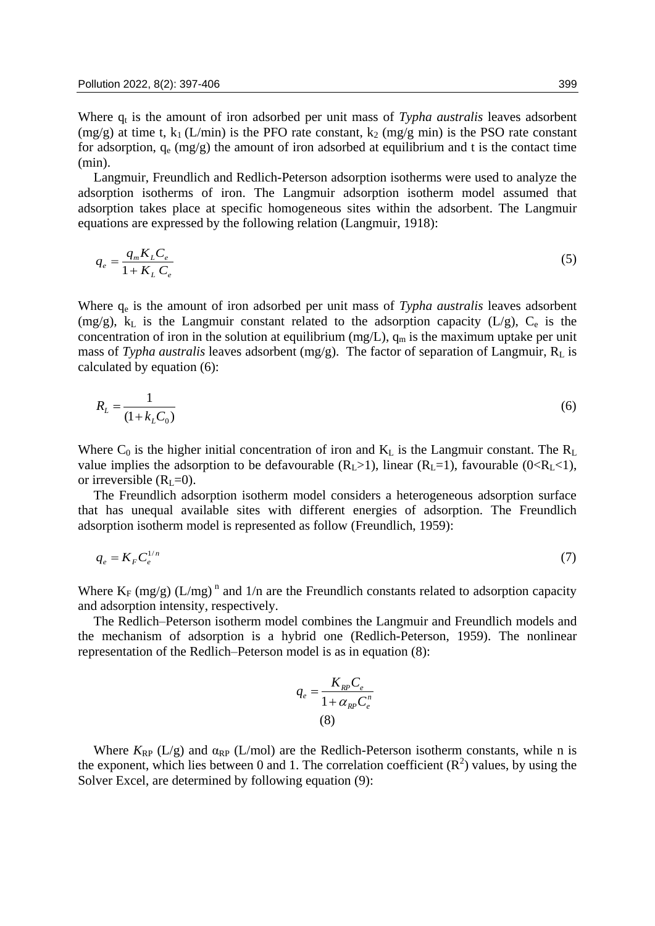Where q<sub>t</sub> is the amount of iron adsorbed per unit mass of *Typha australis* leaves adsorbent (mg/g) at time t,  $k_1$  (L/min) is the PFO rate constant,  $k_2$  (mg/g min) is the PSO rate constant for adsorption,  $q_e$  (mg/g) the amount of iron adsorbed at equilibrium and t is the contact time (min).

Langmuir, Freundlich and Redlich-Peterson adsorption isotherms were used to analyze the adsorption isotherms of iron. The Langmuir adsorption isotherm model assumed that adsorption takes place at specific homogeneous sites within the adsorbent. The Langmuir equations are expressed by the following relation (Langmuir, 1918):

$$
q_e = \frac{q_m K_L C_e}{1 + K_L C_e} \tag{5}
$$

Where  $q_e$  is the amount of iron adsorbed per unit mass of *Typha australis* leaves adsorbent (mg/g),  $k<sub>L</sub>$  is the Langmuir constant related to the adsorption capacity (L/g),  $C<sub>e</sub>$  is the concentration of iron in the solution at equilibrium (mg/L),  $q_m$  is the maximum uptake per unit mass of *Typha australis* leaves adsorbent  $(mg/g)$ . The factor of separation of Langmuir,  $R_L$  is calculated by equation (6):

$$
R_L = \frac{1}{(1 + k_L C_0)}\tag{6}
$$

Where  $C_0$  is the higher initial concentration of iron and  $K_L$  is the Langmuir constant. The  $R_L$ value implies the adsorption to be defavourable  $(R_L>1)$ , linear  $(R_L=1)$ , favourable  $(0 < R_L < 1)$ , or irreversible  $(R<sub>L</sub>=0)$ .

The Freundlich adsorption isotherm model considers a heterogeneous adsorption surface that has unequal available sites with different energies of adsorption. The Freundlich adsorption isotherm model is represented as follow (Freundlich, 1959):

$$
q_e = K_F C_e^{1/n} \tag{7}
$$

Where  $K_F$  (mg/g) (L/mg)<sup>n</sup> and 1/n are the Freundlich constants related to adsorption capacity and adsorption intensity, respectively.

The Redlich–Peterson isotherm model combines the Langmuir and Freundlich models and the mechanism of adsorption is a hybrid one (Redlich-Peterson, 1959). The nonlinear representation of the Redlich–Peterson model is as in equation (8):

$$
q_e = \frac{K_{RP} C_e}{1 + \alpha_{RP} C_e^n}
$$
\n(8)

Where  $K_{RP}$  (L/g) and  $\alpha_{RP}$  (L/mol) are the Redlich-Peterson isotherm constants, while n is the exponent, which lies between 0 and 1. The correlation coefficient  $(R^2)$  values, by using the Solver Excel, are determined by following equation (9):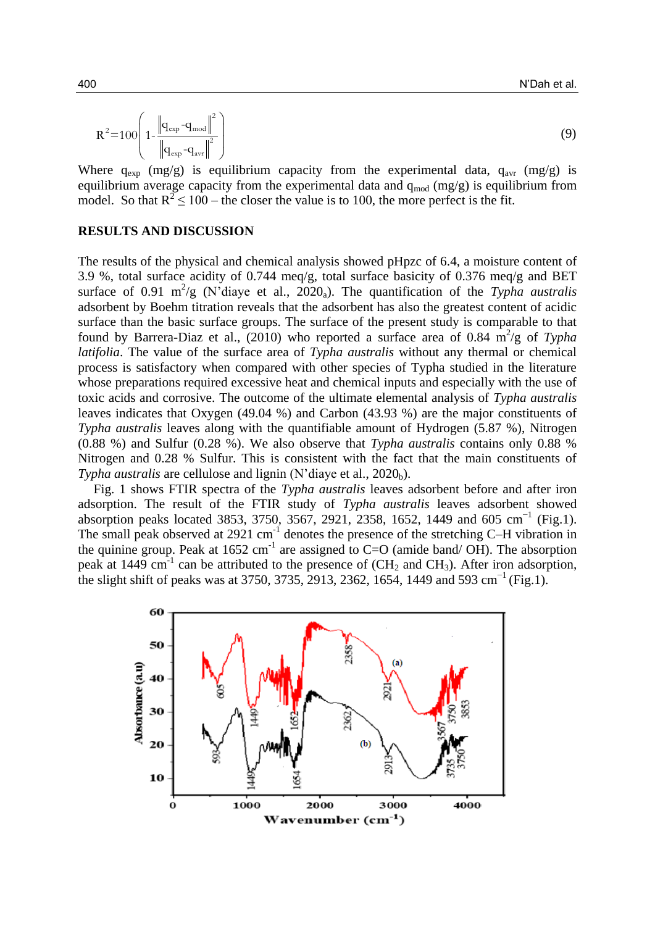$$
R^{2} = 100 \left( 1 - \frac{\left\| q_{\text{exp}} - q_{\text{mod}} \right\|^{2}}{\left\| q_{\text{exp}} - q_{\text{avr}} \right\|^{2}} \right)
$$
 (9)

Where  $q_{exp}$  (mg/g) is equilibrium capacity from the experimental data,  $q_{avr}$  (mg/g) is equilibrium average capacity from the experimental data and  $q_{mod}$  (mg/g) is equilibrium from model. So that  $R^2 \le 100$  – the closer the value is to 100, the more perfect is the fit.

### **RESULTS AND DISCUSSION**

The results of the physical and chemical analysis showed pHpzc of 6.4, a moisture content of 3.9 %, total surface acidity of 0.744 meq/g, total surface basicity of 0.376 meq/g and BET surface of 0.91 m<sup>2</sup>/g (N'diaye et al., 2020<sub>a</sub>). The quantification of the *Typha australis* adsorbent by Boehm titration reveals that the adsorbent has also the greatest content of acidic surface than the basic surface groups. The surface of the present study is comparable to that found by Barrera-Diaz et al.,  $(2010)$  who reported a surface area of 0.84 m<sup>2</sup>/g of *Typha latifolia*. The value of the surface area of *Typha australis* without any thermal or chemical process is satisfactory when compared with other species of Typha studied in the literature whose preparations required excessive heat and chemical inputs and especially with the use of toxic acids and corrosive. The outcome of the ultimate elemental analysis of *Typha australis*  leaves indicates that Oxygen (49.04 %) and Carbon (43.93 %) are the major constituents of *Typha australis* leaves along with the quantifiable amount of Hydrogen (5.87 %), Nitrogen (0.88 %) and Sulfur (0.28 %). We also observe that *Typha australis* contains only 0.88 % Nitrogen and 0.28 % Sulfur. This is consistent with the fact that the main constituents of *Typha australis* are cellulose and lignin (N'diaye et al., 2020<sub>b</sub>).

Fig. 1 shows FTIR spectra of the *Typha australis* leaves adsorbent before and after iron adsorption. The result of the FTIR study of *Typha australis* leaves adsorbent showed absorption peaks located 3853, 3750, 3567, 2921, 2358, 1652, 1449 and 605 cm<sup>-1</sup> (Fig.1). The small peak observed at 2921  $cm^{-1}$  denotes the presence of the stretching C-H vibration in the quinine group. Peak at  $1652 \text{ cm}^{-1}$  are assigned to C=O (amide band/ OH). The absorption peak at 1449 cm<sup>-1</sup> can be attributed to the presence of  $(CH_2$  and  $CH_3$ ). After iron adsorption, the slight shift of peaks was at 3750, 3735, 2913, 2362, 1654, 1449 and 593 cm<sup>-1</sup> (Fig.1).

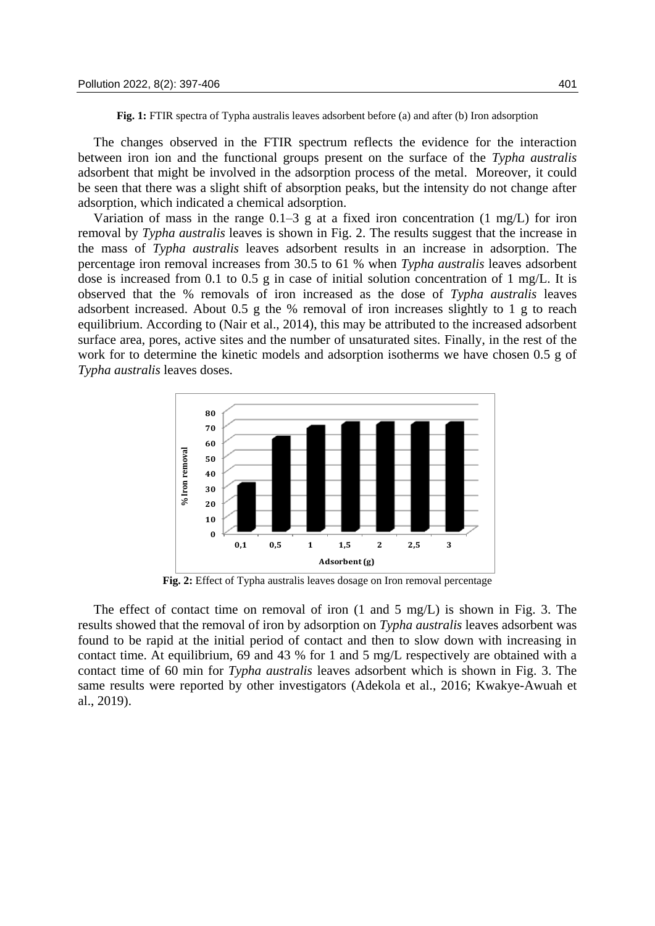**Fig. 1:** FTIR spectra of Typha australis leaves adsorbent before (a) and after (b) Iron adsorption

The changes observed in the FTIR spectrum reflects the evidence for the interaction between iron ion and the functional groups present on the surface of the *Typha australis*  adsorbent that might be involved in the adsorption process of the metal. Moreover, it could be seen that there was a slight shift of absorption peaks, but the intensity do not change after adsorption, which indicated a chemical adsorption.

Variation of mass in the range  $0.1-3$  g at a fixed iron concentration  $(1 \text{ mg/L})$  for iron removal by *Typha australis* leaves is shown in Fig. 2. The results suggest that the increase in the mass of *Typha australis* leaves adsorbent results in an increase in adsorption. The percentage iron removal increases from 30.5 to 61 % when *Typha australis* leaves adsorbent dose is increased from 0.1 to 0.5 g in case of initial solution concentration of 1 mg/L. It is observed that the % removals of iron increased as the dose of *Typha australis* leaves adsorbent increased. About 0.5 g the % removal of iron increases slightly to 1 g to reach equilibrium. According to (Nair et al., 2014), this may be attributed to the increased adsorbent surface area, pores, active sites and the number of unsaturated sites. Finally, in the rest of the work for to determine the kinetic models and adsorption isotherms we have chosen 0.5 g of *Typha australis* leaves doses.



**Fig. 2:** Effect of Typha australis leaves dosage on Iron removal percentage

The effect of contact time on removal of iron  $(1 \text{ and } 5 \text{ mg/L})$  is shown in Fig. 3. The results showed that the removal of iron by adsorption on *Typha australis* leaves adsorbent was found to be rapid at the initial period of contact and then to slow down with increasing in contact time. At equilibrium, 69 and 43 % for 1 and 5 mg/L respectively are obtained with a contact time of 60 min for *Typha australis* leaves adsorbent which is shown in Fig. 3. The same results were reported by other investigators (Adekola et al., 2016; Kwakye-Awuah et al., 2019).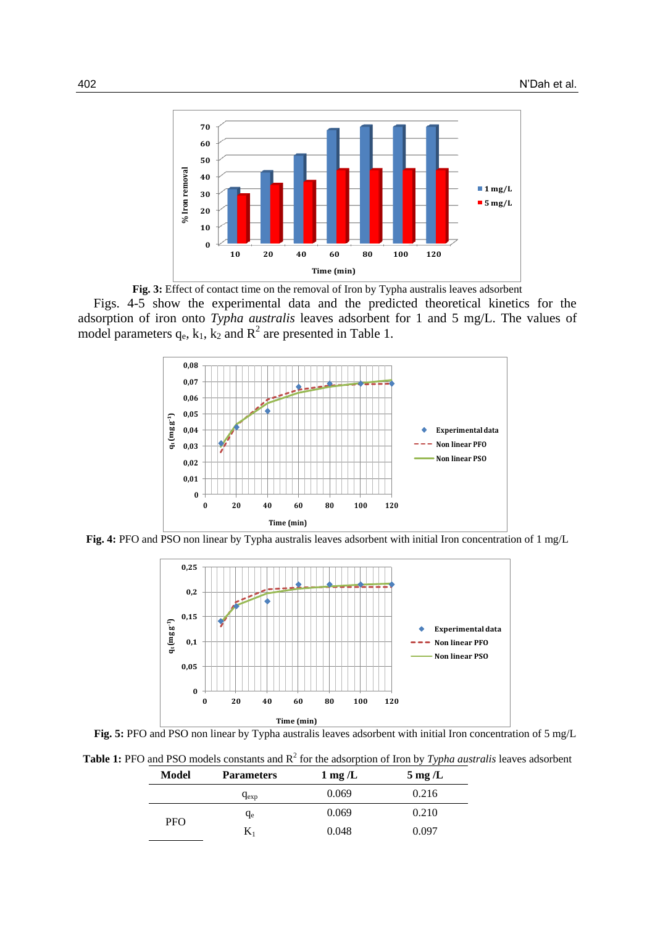

**Fig. 3:** Effect of contact time on the removal of Iron by Typha australis leaves adsorbent Figs. 4-5 show the experimental data and the predicted theoretical kinetics for the adsorption of iron onto *Typha australis* leaves adsorbent for 1 and 5 mg/L. The values of model parameters  $q_e$ ,  $k_1$ ,  $k_2$  and  $R^2$  are presented in Table 1.



**Fig. 4:** PFO and PSO non linear by Typha australis leaves adsorbent with initial Iron concentration of 1 mg/L





**Table 1:** PFO and PSO models constants and R<sup>2</sup> for the adsorption of Iron by *Typha australis* leaves adsorbent

| Model      | <b>Parameters</b> | $1 \text{ mg}/L$ | $5 \,\mathrm{mg}$ /L |
|------------|-------------------|------------------|----------------------|
|            | $q_{exp}$         | 0.069            | 0.216                |
| <b>PFO</b> | $q_e$             | 0.069            | 0.210                |
|            |                   | 0.048            | 0.097                |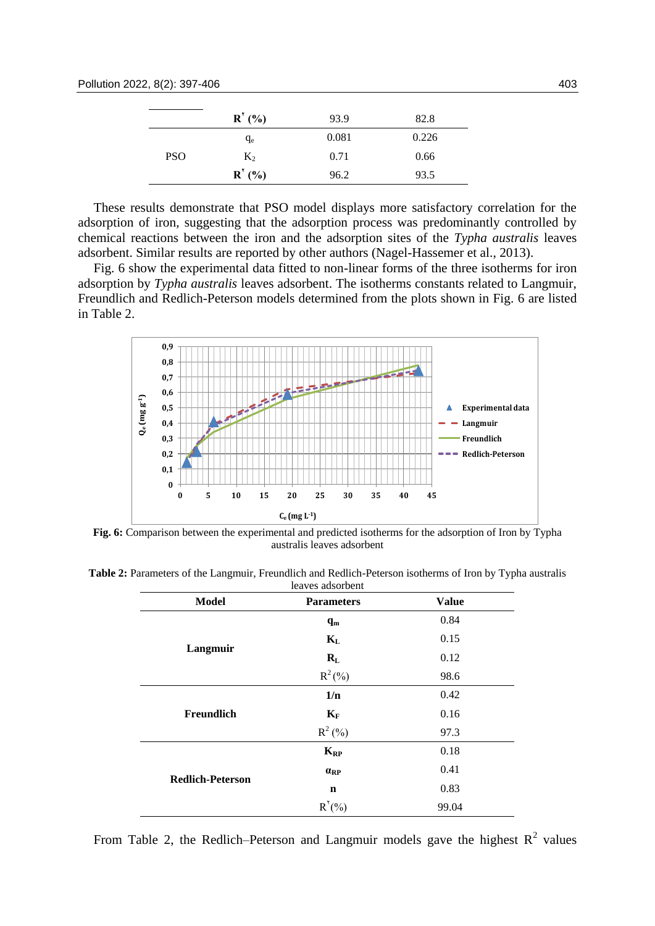|            | R'(%)                     | 93.9  | 82.8  |
|------------|---------------------------|-------|-------|
|            | $q_e$                     | 0.081 | 0.226 |
| <b>PSO</b> | $K_2$                     | 0.71  | 0.66  |
|            | $\mathbf{R}^{\prime}$ (%) | 96.2  | 93.5  |

These results demonstrate that PSO model displays more satisfactory correlation for the adsorption of iron, suggesting that the adsorption process was predominantly controlled by chemical reactions between the iron and the adsorption sites of the *Typha australis* leaves adsorbent. Similar results are reported by other authors (Nagel-Hassemer et al., 2013).

Fig. 6 show the experimental data fitted to non-linear forms of the three isotherms for iron adsorption by *Typha australis* leaves adsorbent. The isotherms constants related to Langmuir, Freundlich and Redlich-Peterson models determined from the plots shown in Fig. 6 are listed in Table 2.



**Fig. 6:** Comparison between the experimental and predicted isotherms for the adsorption of Iron by Typha australis leaves adsorbent

| <b>Model</b>            | <b>Parameters</b>       | <b>Value</b> |
|-------------------------|-------------------------|--------------|
|                         | $\mathbf{q}_\mathbf{m}$ | 0.84         |
|                         | $K_{L}$                 | 0.15         |
| Langmuir                | $R_{L}$                 | 0.12         |
|                         | $R^2(\%)$               | 98.6         |
|                         | 1/n                     | 0.42         |
| Freundlich              | $K_F$                   | 0.16         |
|                         | $R^2$ (%)               | 97.3         |
|                         | $K_{RP}$                | 0.18         |
|                         | $\alpha_{\rm RP}$       | 0.41         |
| <b>Redlich-Peterson</b> | $\mathbf n$             | 0.83         |
|                         | R'(%)                   | 99.04        |

**Table 2:** Parameters of the Langmuir, Freundlich and Redlich-Peterson isotherms of Iron by Typha australis

From Table 2, the Redlich–Peterson and Langmuir models gave the highest  $R^2$  values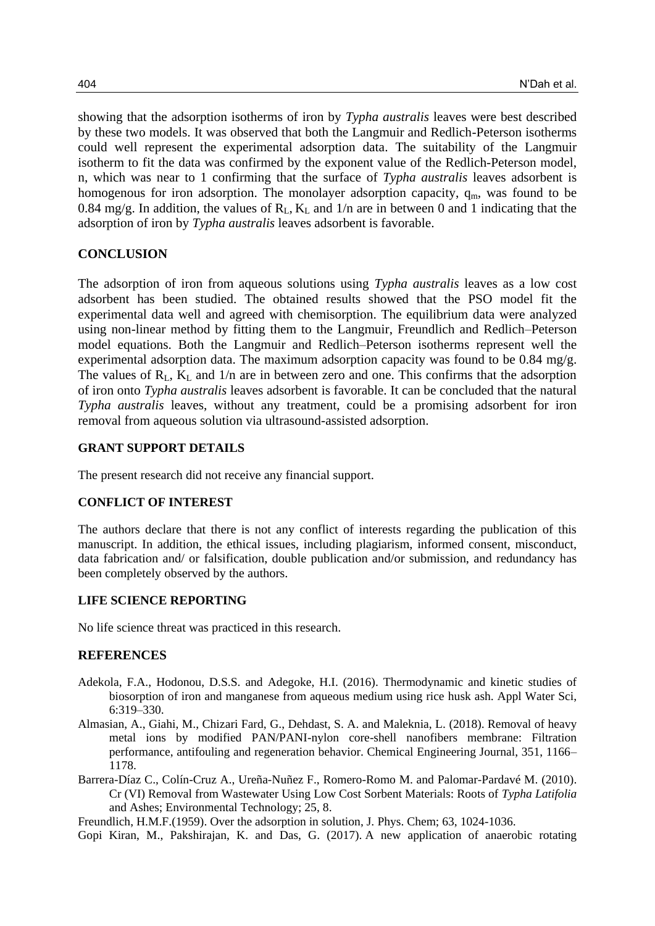showing that the adsorption isotherms of iron by *Typha australis* leaves were best described by these two models. It was observed that both the Langmuir and Redlich-Peterson isotherms could well represent the experimental adsorption data. The suitability of the Langmuir isotherm to fit the data was confirmed by the exponent value of the Redlich-Peterson model, n, which was near to 1 confirming that the surface of *Typha australis* leaves adsorbent is homogenous for iron adsorption. The monolayer adsorption capacity,  $q_m$ , was found to be 0.84 mg/g. In addition, the values of  $R_L$ ,  $K_L$  and 1/n are in between 0 and 1 indicating that the adsorption of iron by *Typha australis* leaves adsorbent is favorable.

## **CONCLUSION**

The adsorption of iron from aqueous solutions using *Typha australis* leaves as a low cost adsorbent has been studied. The obtained results showed that the PSO model fit the experimental data well and agreed with chemisorption. The equilibrium data were analyzed using non-linear method by fitting them to the Langmuir, Freundlich and Redlich–Peterson model equations. Both the Langmuir and Redlich–Peterson isotherms represent well the experimental adsorption data. The maximum adsorption capacity was found to be 0.84 mg/g. The values of  $R_L$ ,  $K_L$  and  $1/n$  are in between zero and one. This confirms that the adsorption of iron onto *Typha australis* leaves adsorbent is favorable. It can be concluded that the natural *Typha australis* leaves, without any treatment, could be a promising adsorbent for iron removal from aqueous solution via ultrasound-assisted adsorption.

## **GRANT SUPPORT DETAILS**

The present research did not receive any financial support.

#### **CONFLICT OF INTEREST**

The authors declare that there is not any conflict of interests regarding the publication of this manuscript. In addition, the ethical issues, including plagiarism, informed consent, misconduct, data fabrication and/ or falsification, double publication and/or submission, and redundancy has been completely observed by the authors.

#### **LIFE SCIENCE REPORTING**

No life science threat was practiced in this research.

## **REFERENCES**

- Adekola, F.A., Hodonou, D.S.S. and Adegoke, H.I. (2016). Thermodynamic and kinetic studies of biosorption of iron and manganese from aqueous medium using rice husk ash. Appl Water Sci, 6:319–330.
- Almasian, A., Giahi, M., Chizari Fard, G., Dehdast, S. A. and Maleknia, L. (2018). Removal of heavy metal ions by modified PAN/PANI-nylon core-shell nanofibers membrane: Filtration performance, antifouling and regeneration behavior. Chemical Engineering Journal, 351, 1166– 1178.
- Barrera-Díaz C., Colín-Cruz A., Ureña-Nuñez F., Romero-Romo M. and Palomar-Pardavé M. (2010). Cr (VI) Removal from Wastewater Using Low Cost Sorbent Materials: Roots of *Typha Latifolia* and Ashes; Environmental Technology; 25, 8.

Freundlich, H.M.F.(1959). Over the adsorption in solution, J. Phys. Chem; 63, 1024-1036.

Gopi Kiran, M., Pakshirajan, K. and Das, G. (2017). A new application of anaerobic rotating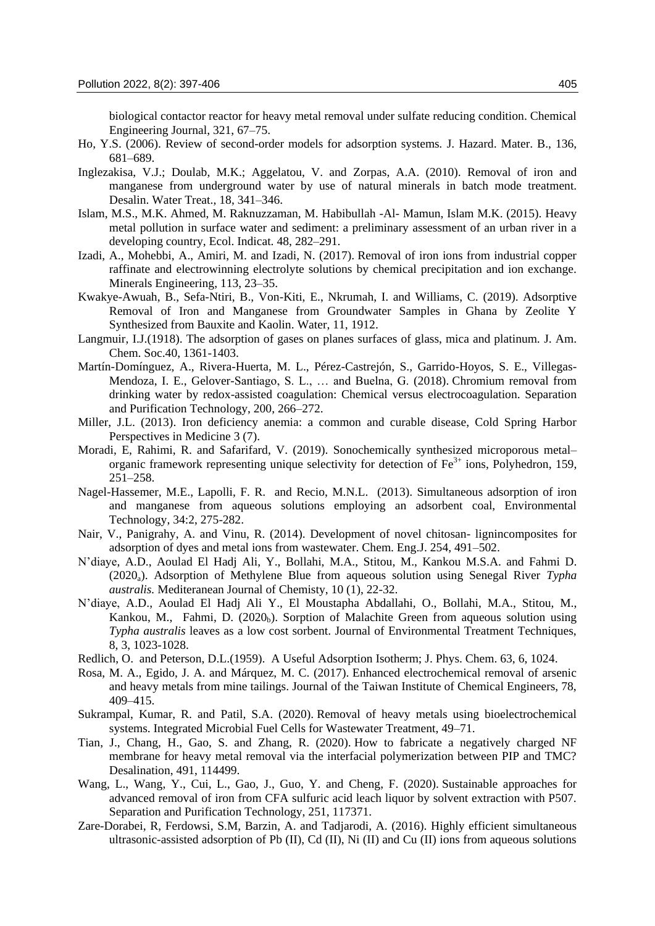biological contactor reactor for heavy metal removal under sulfate reducing condition. Chemical Engineering Journal, 321, 67–75.

- Ho, Y.S. (2006). Review of second-order models for adsorption systems*.* J. Hazard. Mater. B., 136, 681–689.
- Inglezakisa, V.J.; Doulab, M.K.; Aggelatou, V. and Zorpas, A.A. (2010). Removal of iron and manganese from underground water by use of natural minerals in batch mode treatment. Desalin. Water Treat., 18, 341–346.
- Islam, M.S., M.K. Ahmed, M. Raknuzzaman, M. Habibullah -Al- Mamun, Islam M.K. (2015). Heavy metal pollution in surface water and sediment: a preliminary assessment of an urban river in a developing country, Ecol. Indicat. 48, 282–291.
- Izadi, A., Mohebbi, A., Amiri, M. and Izadi, N. (2017). Removal of iron ions from industrial copper raffinate and electrowinning electrolyte solutions by chemical precipitation and ion exchange. Minerals Engineering, 113, 23–35.
- Kwakye-Awuah, B., Sefa-Ntiri, B., Von-Kiti, E., Nkrumah, I. and Williams, C. (2019). Adsorptive Removal of Iron and Manganese from Groundwater Samples in Ghana by Zeolite Y Synthesized from Bauxite and Kaolin. Water, 11, 1912.
- Langmuir, I.J.(1918). The adsorption of gases on planes surfaces of glass, mica and platinum. J. Am. Chem. Soc.40, 1361-1403.
- Martín-Domínguez, A., Rivera-Huerta, M. L., Pérez-Castrejón, S., Garrido-Hoyos, S. E., Villegas-Mendoza, I. E., Gelover-Santiago, S. L., … and Buelna, G. (2018). Chromium removal from drinking water by redox-assisted coagulation: Chemical versus electrocoagulation. Separation and Purification Technology, 200, 266–272.
- Miller, J.L. (2013). Iron deficiency anemia: a common and curable disease, Cold Spring Harbor Perspectives in Medicine 3 (7).
- Moradi, E, Rahimi, R. and Safarifard, V. (2019). Sonochemically synthesized microporous metal– organic framework representing unique selectivity for detection of  $Fe<sup>3+</sup>$  ions, Polyhedron, 159, 251–258.
- Nagel-Hassemer, M.E., Lapolli, F. R. and Recio, M.N.L. (2013). Simultaneous adsorption of iron and manganese from aqueous solutions employing an adsorbent coal, Environmental Technology, 34:2, 275-282.
- Nair, V., Panigrahy, A. and Vinu, R. (2014). Development of novel chitosan- lignincomposites for adsorption of dyes and metal ions from wastewater. Chem. Eng.J. 254, 491–502.
- N'diaye, A.D., Aoulad El Hadj Ali, Y., Bollahi, M.A., Stitou, M., Kankou M.S.A. and Fahmi D. (2020a). Adsorption of Methylene Blue from aqueous solution using Senegal River *Typha australis.* Mediteranean Journal of Chemisty, 10 (1), 22-32.
- N'diaye, A.D., Aoulad El Hadj Ali Y., El Moustapha Abdallahi, O., Bollahi, M.A., Stitou, M., Kankou, M., Fahmi, D.  $(2020<sub>b</sub>)$ . Sorption of Malachite Green from aqueous solution using *Typha australis* leaves as a low cost sorbent. Journal of Environmental Treatment Techniques, 8, 3, 1023-1028.
- Redlich, O. and Peterson, D.L.(1959). A Useful Adsorption Isotherm; J. Phys. Chem. 63, 6, 1024.
- Rosa, M. A., Egido, J. A. and Márquez, M. C. (2017). Enhanced electrochemical removal of arsenic and heavy metals from mine tailings. Journal of the Taiwan Institute of Chemical Engineers, 78, 409–415.
- Sukrampal, Kumar, R. and Patil, S.A. (2020). Removal of heavy metals using bioelectrochemical systems. Integrated Microbial Fuel Cells for Wastewater Treatment, 49–71.
- Tian, J., Chang, H., Gao, S. and Zhang, R. (2020). How to fabricate a negatively charged NF membrane for heavy metal removal via the interfacial polymerization between PIP and TMC? Desalination, 491, 114499.
- Wang, L., Wang, Y., Cui, L., Gao, J., Guo, Y. and Cheng, F. (2020). Sustainable approaches for advanced removal of iron from CFA sulfuric acid leach liquor by solvent extraction with P507. Separation and Purification Technology, 251, 117371.
- Zare-Dorabei, R, Ferdowsi, S.M, Barzin, A. and Tadjarodi, A. (2016). Highly efficient simultaneous ultrasonic-assisted adsorption of Pb (II), Cd (II), Ni (II) and Cu (II) ions from aqueous solutions